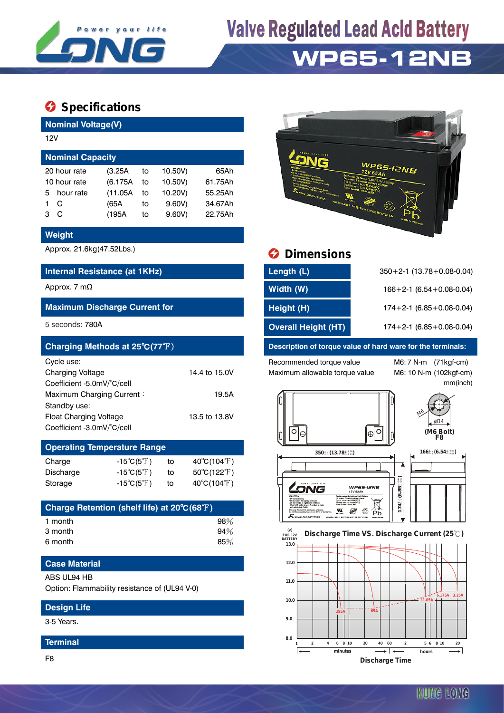

# **Valve Regulated Lead Acid Battery WP65-12NB**

## $\bullet$  Specifications

**Nominal Voltage(V)**

| 12V                     |          |    |           |         |  |  |  |
|-------------------------|----------|----|-----------|---------|--|--|--|
| <b>Nominal Capacity</b> |          |    |           |         |  |  |  |
| 20 hour rate            | (3.25A   | to | 10.50V)   | 65Ah    |  |  |  |
| 10 hour rate            | (6.175A) | to | 10.50V)   | 61.75Ah |  |  |  |
| hour rate<br>5.         | (11.05A) | to | 10.20V)   | 55.25Ah |  |  |  |
| C                       | (65A     | to | 9.60V     | 34.67Ah |  |  |  |
| C<br>з                  | (195A    | to | $9.60V$ ) | 22.75Ah |  |  |  |

#### **Weight**

#### **Internal Resistance (at 1KHz)**

#### **Maximum Discharge Current for**

| Charging Methods at 25°C(77°F) |               |
|--------------------------------|---------------|
| Cycle use:                     |               |
| <b>Charging Voltage</b>        | 14.4 to 15.0V |
| Coefficient -5.0mV/°C/cell     |               |
| Maximum Charging Current:      | 19.5A         |
| Standby use:                   |               |
| <b>Float Charging Voltage</b>  | 13.5 to 13.8V |
| Coefficient -3.0mV/°C/cell     |               |

### **Operating Temperature Range**  $Chara$   $15°C$   $(5°F)$  to  $40°C$   $(104°F)$

| Unarye    | - 19 U G T 1               |    | $40 \cup (104 \text{ T})$        |
|-----------|----------------------------|----|----------------------------------|
| Discharge | $-15^{\circ}C(5^{\circ}F)$ | to | $50^{\circ}$ C(122 $^{\circ}$ F) |
| Storage   | $-15^{\circ}C(5^{\circ}F)$ | to | $40^{\circ}$ C(104 $^{\circ}$ F) |

| Charge Retention (shelf life) at 20°C(68°F) |     |
|---------------------------------------------|-----|
| 1 month                                     | 98% |
| 3 month                                     | 94% |
| 6 month                                     | 85% |

### **Case Material**

#### ABS UL94 HB

Option: Flammability resistance of (UL94 V-0)

#### **Design Life**

3-5 Years.

#### **Terminal**

F8



## Approx. 21.6kg(47.52Lbs.) **Dimensions**

| Internal Resistance (at 1KHz)        | Length (L)                 | $350+2-1$ (13.78 + 0.08-0.04)      |
|--------------------------------------|----------------------------|------------------------------------|
| Approx. 7 m $\Omega$                 | Width (W)                  | $166 + 2 - 1$ (6.54 + 0.08 - 0.04) |
| <b>Maximum Discharge Current for</b> | Height (H)                 | $174 + 2 - 1$ (6.85 + 0.08 - 0.04) |
| 5 seconds: 780A                      | <b>Overall Height (HT)</b> | $174+2-1$ (6.85 + 0.08-0.04)       |

#### **Description of torque value of hard ware for the terminals:**

Recommended torque value M6: 7 N-m (71kgf-cm) Maximum allowable torque value M6: 10 N-m (102kgf-cm)

.<br>přeslov, ar dum<br>ičal své 66°C, se

NOVA

KUNG LONG BATTERIES

 $\ddot{\tilde{\mathbf{x}}}$ 

mm(inch)



#### **13.0 FOR 12V BATTERY Discharge Time VS. Discharge Current (25℃)**

 $X \otimes C$